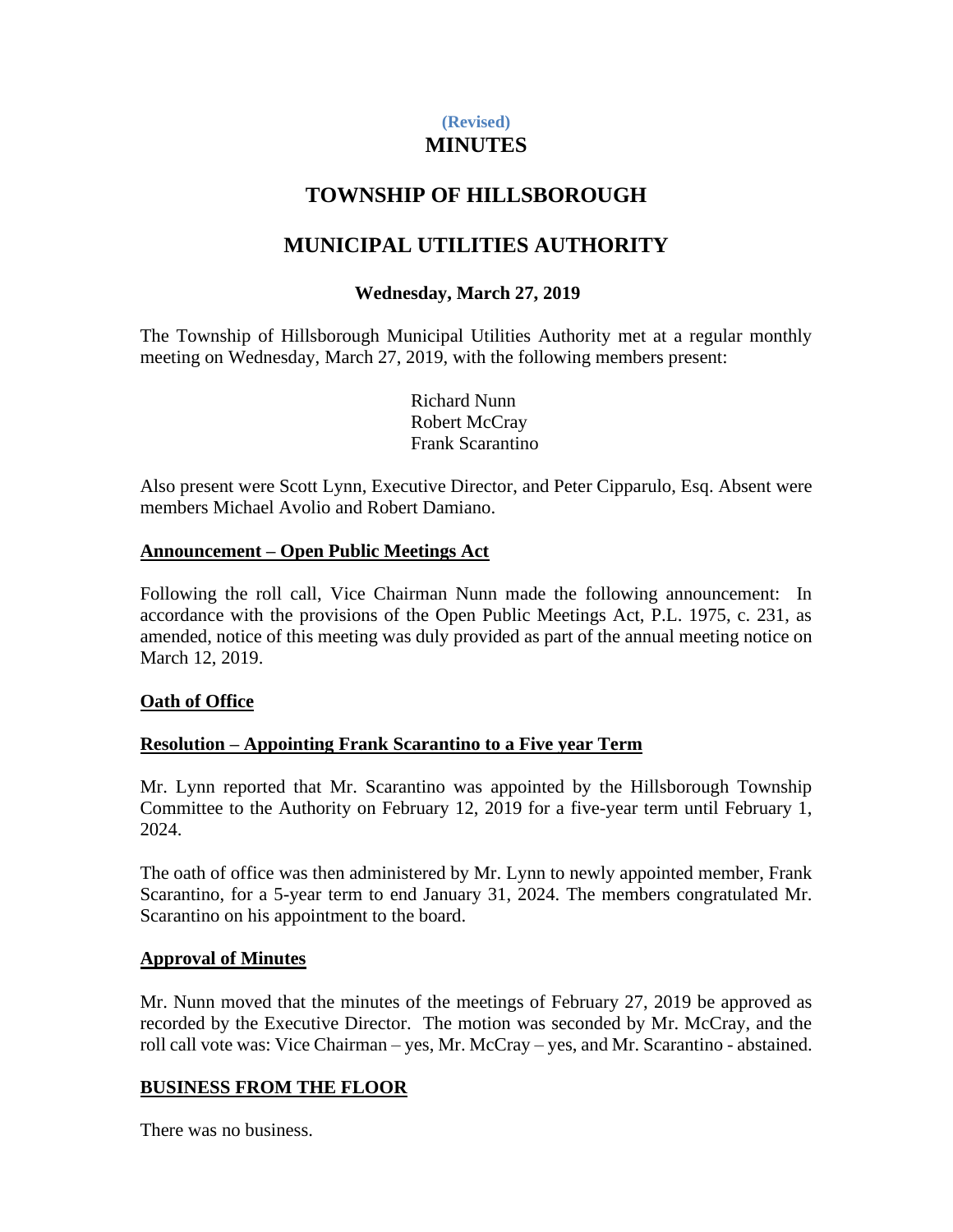## **(Revised) MINUTES**

# **TOWNSHIP OF HILLSBOROUGH**

## **MUNICIPAL UTILITIES AUTHORITY**

## **Wednesday, March 27, 2019**

The Township of Hillsborough Municipal Utilities Authority met at a regular monthly meeting on Wednesday, March 27, 2019, with the following members present:

> Richard Nunn Robert McCray Frank Scarantino

Also present were Scott Lynn, Executive Director, and Peter Cipparulo, Esq. Absent were members Michael Avolio and Robert Damiano.

### **Announcement – Open Public Meetings Act**

Following the roll call, Vice Chairman Nunn made the following announcement: In accordance with the provisions of the Open Public Meetings Act, P.L. 1975, c. 231, as amended, notice of this meeting was duly provided as part of the annual meeting notice on March 12, 2019.

### **Oath of Office**

### **Resolution – Appointing Frank Scarantino to a Five year Term**

Mr. Lynn reported that Mr. Scarantino was appointed by the Hillsborough Township Committee to the Authority on February 12, 2019 for a five-year term until February 1, 2024.

The oath of office was then administered by Mr. Lynn to newly appointed member, Frank Scarantino, for a 5-year term to end January 31, 2024. The members congratulated Mr. Scarantino on his appointment to the board.

### **Approval of Minutes**

Mr. Nunn moved that the minutes of the meetings of February 27, 2019 be approved as recorded by the Executive Director. The motion was seconded by Mr. McCray, and the roll call vote was: Vice Chairman – yes, Mr. McCray – yes, and Mr. Scarantino - abstained.

### **BUSINESS FROM THE FLOOR**

There was no business.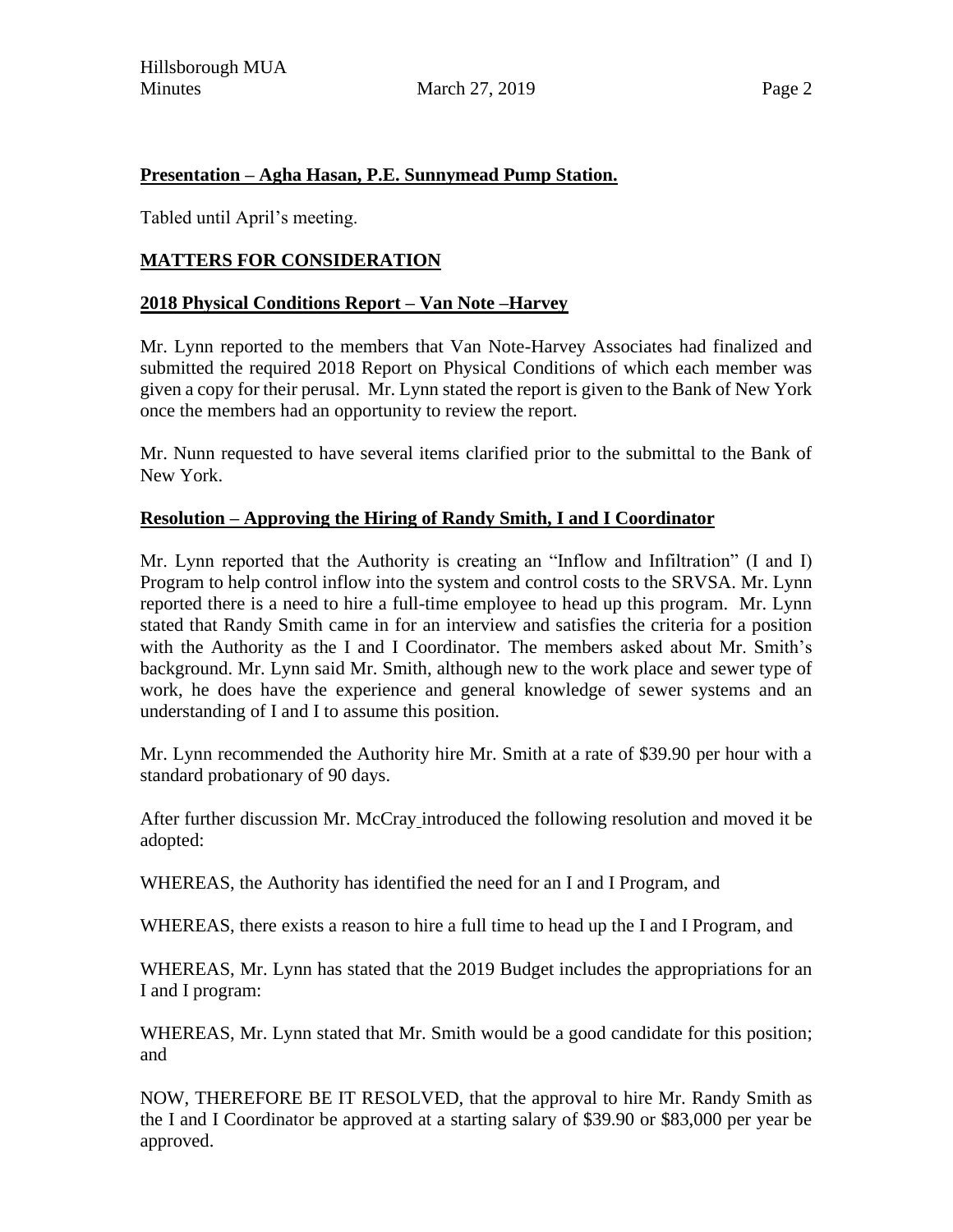### **Presentation – Agha Hasan, P.E. Sunnymead Pump Station.**

Tabled until April's meeting.

## **MATTERS FOR CONSIDERATION**

### **2018 Physical Conditions Report – Van Note –Harvey**

Mr. Lynn reported to the members that Van Note-Harvey Associates had finalized and submitted the required 2018 Report on Physical Conditions of which each member was given a copy for their perusal. Mr. Lynn stated the report is given to the Bank of New York once the members had an opportunity to review the report.

Mr. Nunn requested to have several items clarified prior to the submittal to the Bank of New York.

### **Resolution – Approving the Hiring of Randy Smith, I and I Coordinator**

Mr. Lynn reported that the Authority is creating an "Inflow and Infiltration" (I and I) Program to help control inflow into the system and control costs to the SRVSA. Mr. Lynn reported there is a need to hire a full-time employee to head up this program. Mr. Lynn stated that Randy Smith came in for an interview and satisfies the criteria for a position with the Authority as the I and I Coordinator. The members asked about Mr. Smith's background. Mr. Lynn said Mr. Smith, although new to the work place and sewer type of work, he does have the experience and general knowledge of sewer systems and an understanding of I and I to assume this position.

Mr. Lynn recommended the Authority hire Mr. Smith at a rate of \$39.90 per hour with a standard probationary of 90 days.

After further discussion Mr. McCray introduced the following resolution and moved it be adopted:

WHEREAS, the Authority has identified the need for an I and I Program, and

WHEREAS, there exists a reason to hire a full time to head up the I and I Program, and

WHEREAS, Mr. Lynn has stated that the 2019 Budget includes the appropriations for an I and I program:

WHEREAS, Mr. Lynn stated that Mr. Smith would be a good candidate for this position; and

NOW, THEREFORE BE IT RESOLVED, that the approval to hire Mr. Randy Smith as the I and I Coordinator be approved at a starting salary of \$39.90 or \$83,000 per year be approved.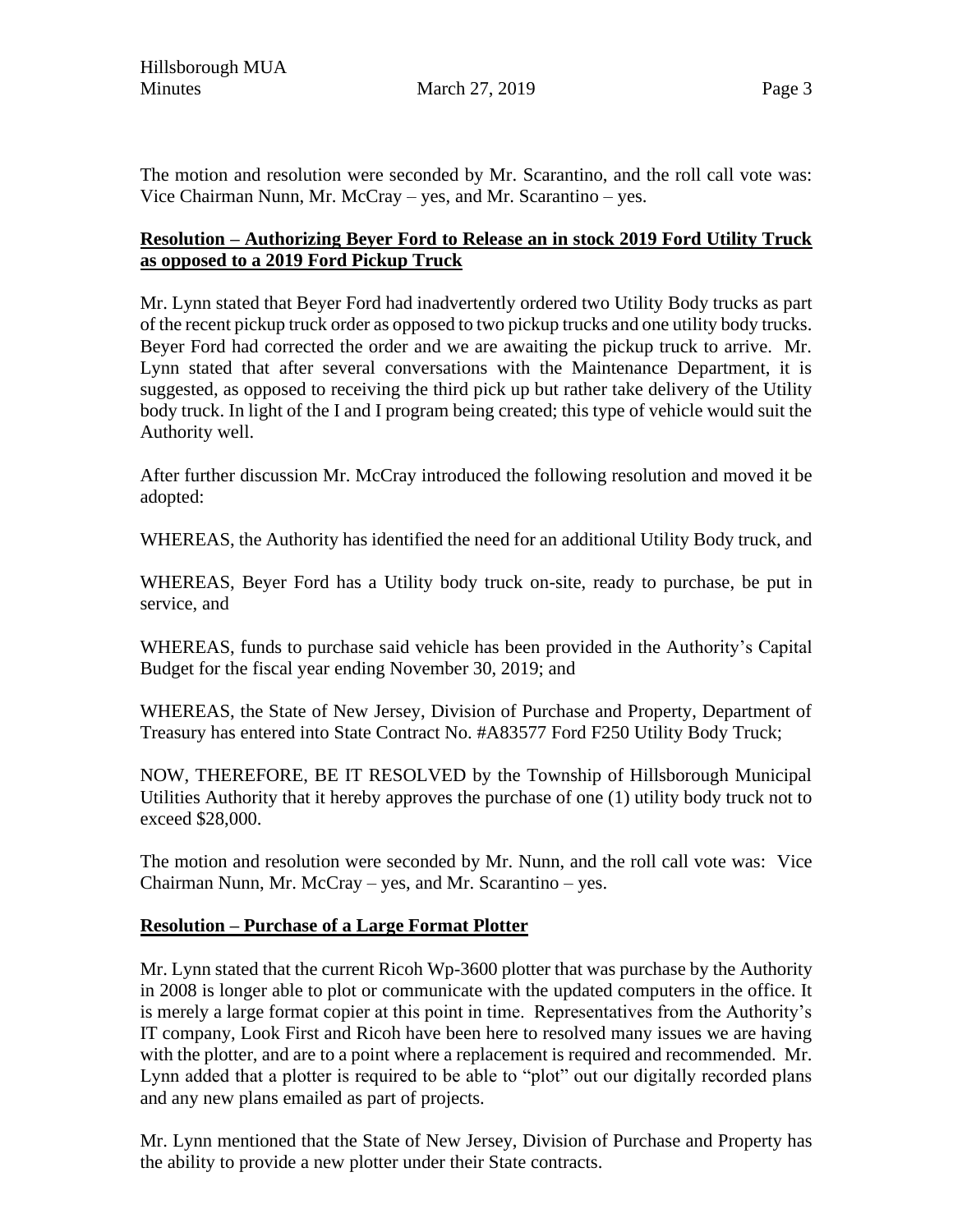The motion and resolution were seconded by Mr. Scarantino, and the roll call vote was: Vice Chairman Nunn, Mr. McCray – yes, and Mr. Scarantino – yes.

## **Resolution – Authorizing Beyer Ford to Release an in stock 2019 Ford Utility Truck as opposed to a 2019 Ford Pickup Truck**

Mr. Lynn stated that Beyer Ford had inadvertently ordered two Utility Body trucks as part of the recent pickup truck order as opposed to two pickup trucks and one utility body trucks. Beyer Ford had corrected the order and we are awaiting the pickup truck to arrive. Mr. Lynn stated that after several conversations with the Maintenance Department, it is suggested, as opposed to receiving the third pick up but rather take delivery of the Utility body truck. In light of the I and I program being created; this type of vehicle would suit the Authority well.

After further discussion Mr. McCray introduced the following resolution and moved it be adopted:

WHEREAS, the Authority has identified the need for an additional Utility Body truck, and

WHEREAS, Beyer Ford has a Utility body truck on-site, ready to purchase, be put in service, and

WHEREAS, funds to purchase said vehicle has been provided in the Authority's Capital Budget for the fiscal year ending November 30, 2019; and

WHEREAS, the State of New Jersey, Division of Purchase and Property, Department of Treasury has entered into State Contract No. #A83577 Ford F250 Utility Body Truck;

NOW, THEREFORE, BE IT RESOLVED by the Township of Hillsborough Municipal Utilities Authority that it hereby approves the purchase of one (1) utility body truck not to exceed \$28,000.

The motion and resolution were seconded by Mr. Nunn, and the roll call vote was: Vice Chairman Nunn, Mr. McCray – yes, and Mr. Scarantino – yes.

### **Resolution – Purchase of a Large Format Plotter**

Mr. Lynn stated that the current Ricoh Wp-3600 plotter that was purchase by the Authority in 2008 is longer able to plot or communicate with the updated computers in the office. It is merely a large format copier at this point in time. Representatives from the Authority's IT company, Look First and Ricoh have been here to resolved many issues we are having with the plotter, and are to a point where a replacement is required and recommended. Mr. Lynn added that a plotter is required to be able to "plot" out our digitally recorded plans and any new plans emailed as part of projects.

Mr. Lynn mentioned that the State of New Jersey, Division of Purchase and Property has the ability to provide a new plotter under their State contracts.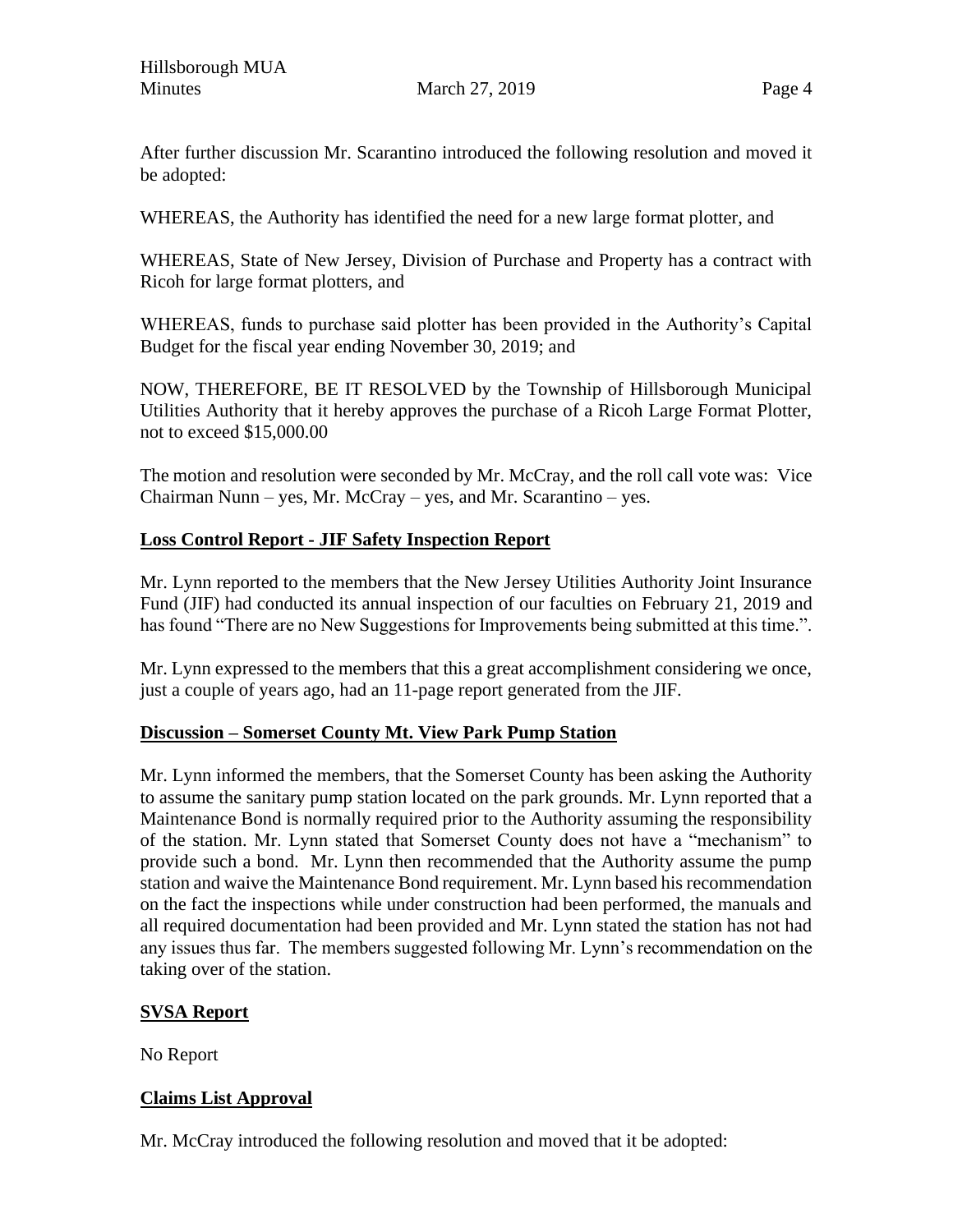After further discussion Mr. Scarantino introduced the following resolution and moved it be adopted:

WHEREAS, the Authority has identified the need for a new large format plotter, and

WHEREAS, State of New Jersey, Division of Purchase and Property has a contract with Ricoh for large format plotters, and

WHEREAS, funds to purchase said plotter has been provided in the Authority's Capital Budget for the fiscal year ending November 30, 2019; and

NOW, THEREFORE, BE IT RESOLVED by the Township of Hillsborough Municipal Utilities Authority that it hereby approves the purchase of a Ricoh Large Format Plotter, not to exceed \$15,000.00

The motion and resolution were seconded by Mr. McCray, and the roll call vote was: Vice Chairman Nunn – yes, Mr. McCray – yes, and Mr. Scarantino – yes.

## **Loss Control Report - JIF Safety Inspection Report**

Mr. Lynn reported to the members that the New Jersey Utilities Authority Joint Insurance Fund (JIF) had conducted its annual inspection of our faculties on February 21, 2019 and has found "There are no New Suggestions for Improvements being submitted at this time.".

Mr. Lynn expressed to the members that this a great accomplishment considering we once, just a couple of years ago, had an 11-page report generated from the JIF.

## **Discussion – Somerset County Mt. View Park Pump Station**

Mr. Lynn informed the members, that the Somerset County has been asking the Authority to assume the sanitary pump station located on the park grounds. Mr. Lynn reported that a Maintenance Bond is normally required prior to the Authority assuming the responsibility of the station. Mr. Lynn stated that Somerset County does not have a "mechanism" to provide such a bond. Mr. Lynn then recommended that the Authority assume the pump station and waive the Maintenance Bond requirement. Mr. Lynn based his recommendation on the fact the inspections while under construction had been performed, the manuals and all required documentation had been provided and Mr. Lynn stated the station has not had any issues thus far. The members suggested following Mr. Lynn's recommendation on the taking over of the station.

## **SVSA Report**

No Report

## **Claims List Approval**

Mr. McCray introduced the following resolution and moved that it be adopted: